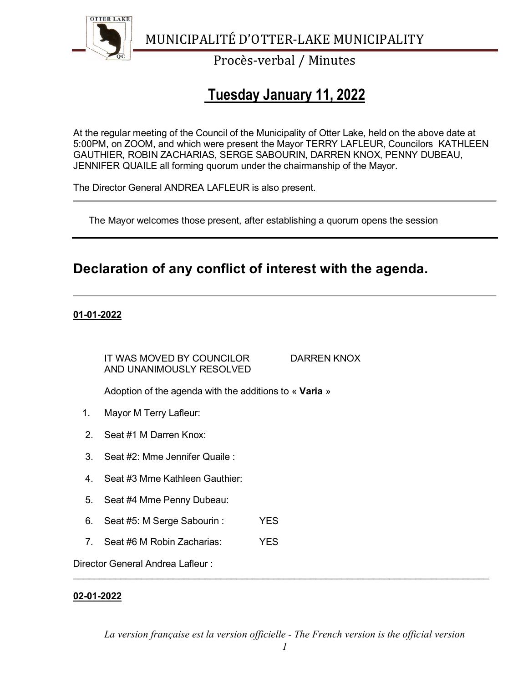

Procès-verbal / Minutes

# **Tuesday January 11, 2022**

At the regular meeting of the Council of the Municipality of Otter Lake, held on the above date at 5:00PM, on ZOOM, and which were present the Mayor TERRY LAFLEUR, Councilors KATHLEEN GAUTHIER, ROBIN ZACHARIAS, SERGE SABOURIN, DARREN KNOX, PENNY DUBEAU, JENNIFER QUAILE all forming quorum under the chairmanship of the Mayor.

The Director General ANDREA LAFLEUR is also present.

The Mayor welcomes those present, after establishing a quorum opens the session

## **Declaration of any conflict of interest with the agenda.**

### **01-01-2022**

IT WAS MOVED BY COUNCILOR DARREN KNOX AND UNANIMOUSLY RESOLVED

Adoption of the agenda with the additions to « **Varia** »

- 1. Mayor M Terry Lafleur:
- 2. Seat #1 M Darren Knox:
- 3. Seat #2: Mme Jennifer Quaile :
- 4. Seat #3 Mme Kathleen Gauthier:
- 5. Seat #4 Mme Penny Dubeau:
- 6. Seat #5: M Serge Sabourin : YES
- 7. Seat #6 M Robin Zacharias: YES

Director General Andrea Lafleur :

### **02-01-2022**

*La version française est la version officielle - The French version is the official version* 

\_\_\_\_\_\_\_\_\_\_\_\_\_\_\_\_\_\_\_\_\_\_\_\_\_\_\_\_\_\_\_\_\_\_\_\_\_\_\_\_\_\_\_\_\_\_\_\_\_\_\_\_\_\_\_\_\_\_\_\_\_\_\_\_\_\_\_\_\_\_\_\_\_\_\_\_\_\_\_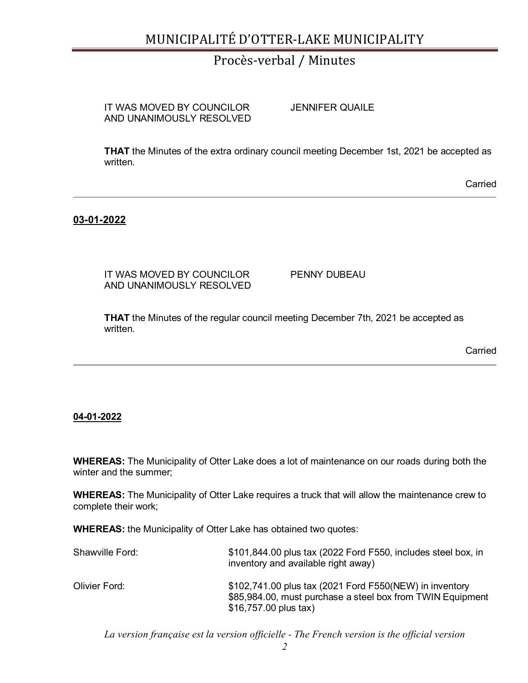## Procès-verbal / Minutes

IT WAS MOVED BY COUNCILOR JENNIFER QUAILE AND UNANIMOUSLY RESOLVED

**THAT** the Minutes of the extra ordinary council meeting December 1st, 2021 be accepted as written.

Carried

### **03-01-2022**

IT WAS MOVED BY COUNCILOR PENNY DUBEAU AND UNANIMOUSLY RESOLVED

**THAT** the Minutes of the regular council meeting December 7th, 2021 be accepted as written.

**Carried** 

#### **04-01-2022**

**WHEREAS:** The Municipality of Otter Lake does a lot of maintenance on our roads during both the winter and the summer;

**WHEREAS:** The Municipality of Otter Lake requires a truck that will allow the maintenance crew to complete their work;

**WHEREAS:** the Municipality of Otter Lake has obtained two quotes:

| Shawville Ford: | \$101,844.00 plus tax (2022 Ford F550, includes steel box, in<br>inventory and available right away)                                           |
|-----------------|------------------------------------------------------------------------------------------------------------------------------------------------|
| Olivier Ford:   | \$102,741.00 plus tax (2021 Ford F550(NEW) in inventory<br>\$85,984.00, must purchase a steel box from TWIN Equipment<br>\$16,757.00 plus tax) |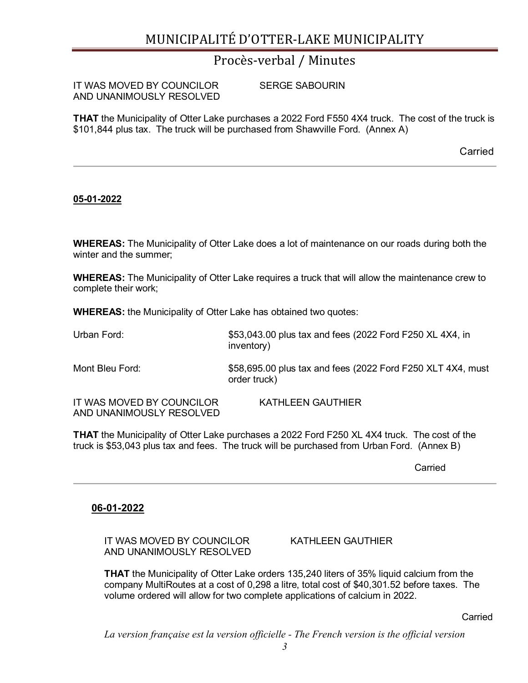## Procès-verbal / Minutes

| IT WAS MOVED BY COUNCILOR | <b>SERGE SABOURIN</b> |
|---------------------------|-----------------------|
| AND UNANIMOUSLY RESOLVED  |                       |

**THAT** the Municipality of Otter Lake purchases a 2022 Ford F550 4X4 truck. The cost of the truck is \$101,844 plus tax. The truck will be purchased from Shawville Ford. (Annex A)

Carried

#### **05-01-2022**

**WHEREAS:** The Municipality of Otter Lake does a lot of maintenance on our roads during both the winter and the summer;

**WHEREAS:** The Municipality of Otter Lake requires a truck that will allow the maintenance crew to complete their work;

**WHEREAS:** the Municipality of Otter Lake has obtained two quotes:

| Urban Ford:                                           | \$53,043.00 plus tax and fees (2022 Ford F250 XL 4X4, in<br>inventory)      |
|-------------------------------------------------------|-----------------------------------------------------------------------------|
| Mont Bleu Ford:                                       | \$58,695.00 plus tax and fees (2022 Ford F250 XLT 4X4, must<br>order truck) |
| IT WAS MOVED BY COUNCILOR<br>AND UNANIMOUSLY RESOLVED | <b>KATHLEEN GAUTHIER</b>                                                    |

**THAT** the Municipality of Otter Lake purchases a 2022 Ford F250 XL 4X4 truck. The cost of the truck is \$53,043 plus tax and fees. The truck will be purchased from Urban Ford. (Annex B)

Carried

#### **06-01-2022**

IT WAS MOVED BY COUNCILOR KATHLEEN GAUTHIER AND UNANIMOUSLY RESOLVED

**THAT** the Municipality of Otter Lake orders 135,240 liters of 35% liquid calcium from the company MultiRoutes at a cost of 0,298 a litre, total cost of \$40,301.52 before taxes. The volume ordered will allow for two complete applications of calcium in 2022.

Carried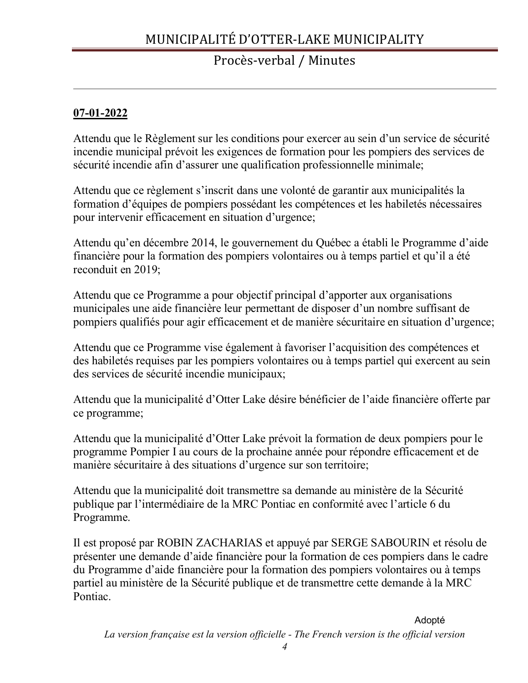## Procès-verbal / Minutes

## **07-01-2022**

Attendu que le Règlement sur les conditions pour exercer au sein d'un service de sécurité incendie municipal prévoit les exigences de formation pour les pompiers des services de sécurité incendie afin d'assurer une qualification professionnelle minimale;

Attendu que ce règlement s'inscrit dans une volonté de garantir aux municipalités la formation d'équipes de pompiers possédant les compétences et les habiletés nécessaires pour intervenir efficacement en situation d'urgence;

Attendu qu'en décembre 2014, le gouvernement du Québec a établi le Programme d'aide financière pour la formation des pompiers volontaires ou à temps partiel et qu'il a été reconduit en 2019;

Attendu que ce Programme a pour objectif principal d'apporter aux organisations municipales une aide financière leur permettant de disposer d'un nombre suffisant de pompiers qualifiés pour agir efficacement et de manière sécuritaire en situation d'urgence;

Attendu que ce Programme vise également à favoriser l'acquisition des compétences et des habiletés requises par les pompiers volontaires ou à temps partiel qui exercent au sein des services de sécurité incendie municipaux;

Attendu que la municipalité d'Otter Lake désire bénéficier de l'aide financière offerte par ce programme;

Attendu que la municipalité d'Otter Lake prévoit la formation de deux pompiers pour le programme Pompier I au cours de la prochaine année pour répondre efficacement et de manière sécuritaire à des situations d'urgence sur son territoire;

Attendu que la municipalité doit transmettre sa demande au ministère de la Sécurité publique par l'intermédiaire de la MRC Pontiac en conformité avec l'article 6 du Programme.

Il est proposé par ROBIN ZACHARIAS et appuyé par SERGE SABOURIN et résolu de présenter une demande d'aide financière pour la formation de ces pompiers dans le cadre du Programme d'aide financière pour la formation des pompiers volontaires ou à temps partiel au ministère de la Sécurité publique et de transmettre cette demande à la MRC Pontiac.

Adopté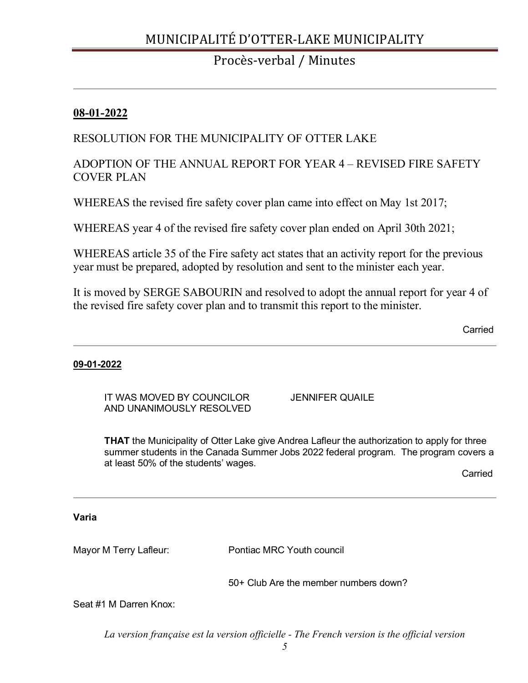## Procès-verbal / Minutes

### **08-01-2022**

## RESOLUTION FOR THE MUNICIPALITY OF OTTER LAKE

## ADOPTION OF THE ANNUAL REPORT FOR YEAR 4 – REVISED FIRE SAFETY COVER PLAN

WHEREAS the revised fire safety cover plan came into effect on May 1st 2017;

WHEREAS year 4 of the revised fire safety cover plan ended on April 30th 2021;

WHEREAS article 35 of the Fire safety act states that an activity report for the previous year must be prepared, adopted by resolution and sent to the minister each year.

It is moved by SERGE SABOURIN and resolved to adopt the annual report for year 4 of the revised fire safety cover plan and to transmit this report to the minister.

Carried

### **09-01-2022**

IT WAS MOVED BY COUNCILOR JENNIFER QUAILE AND UNANIMOUSLY RESOLVED

**THAT** the Municipality of Otter Lake give Andrea Lafleur the authorization to apply for three summer students in the Canada Summer Jobs 2022 federal program. The program covers a at least 50% of the students' wages.

Carried

### **Varia**

Mayor M Terry Lafleur: Pontiac MRC Youth council

50+ Club Are the member numbers down?

Seat #1 M Darren Knox: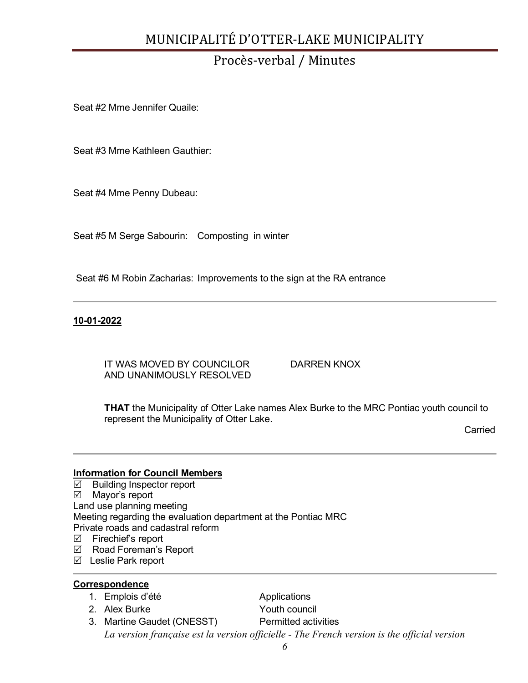# Procès-verbal / Minutes

Seat #2 Mme Jennifer Quaile:

Seat #3 Mme Kathleen Gauthier:

Seat #4 Mme Penny Dubeau:

Seat #5 M Serge Sabourin: Composting in winter

Seat #6 M Robin Zacharias: Improvements to the sign at the RA entrance

#### **10-01-2022**

IT WAS MOVED BY COUNCILOR DARREN KNOX AND UNANIMOUSLY RESOLVED

**THAT** the Municipality of Otter Lake names Alex Burke to the MRC Pontiac youth council to represent the Municipality of Otter Lake.

Carried

#### **Information for Council Members**

 $\overline{\boxtimes}$  Building Inspector report  $\boxtimes$  Mayor's report Land use planning meeting Meeting regarding the evaluation department at the Pontiac MRC Private roads and cadastral reform

- $\boxtimes$  Firechief's report
- Road Foreman's Report
- Leslie Park report

#### **Correspondence**

- 1. Emplois d'été **Applications**
- 2. Alex Burke Youth council
- 

3. Martine Gaudet (CNESST) Permitted activities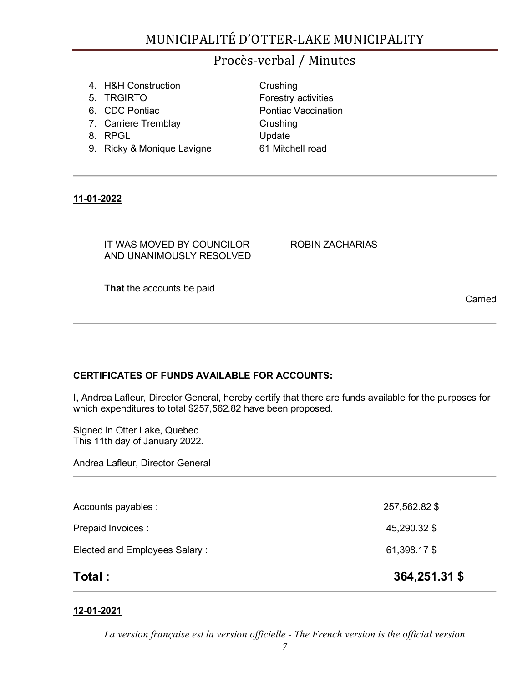## Procès-verbal / Minutes

**Crushing** 

|  | 4. H&H Construction |
|--|---------------------|
|  |                     |

- 5. TRGIRTO **Forestry activities**
- 6. CDC Pontiac **Pontiac Pontiac Vaccination**
- 7. Carriere Tremblay Crushing
- 8. RPGL Update
- 9. Ricky & Monique Lavigne 61 Mitchell road

### **11-01-2022**

IT WAS MOVED BY COUNCILOR ROBIN ZACHARIAS AND UNANIMOUSLY RESOLVED

Carried

**That** the accounts be paid

## **CERTIFICATES OF FUNDS AVAILABLE FOR ACCOUNTS:**

I, Andrea Lafleur, Director General, hereby certify that there are funds available for the purposes for which expenditures to total \$257,562.82 have been proposed.

Signed in Otter Lake, Quebec This 11th day of January 2022.

Andrea Lafleur, Director General

| Total :                       | 364,251.31 \$ |
|-------------------------------|---------------|
| Elected and Employees Salary: | 61,398.17 \$  |
| Prepaid Invoices :            | 45,290.32 \$  |
| Accounts payables :           | 257,562.82 \$ |

### **12-01-2021**